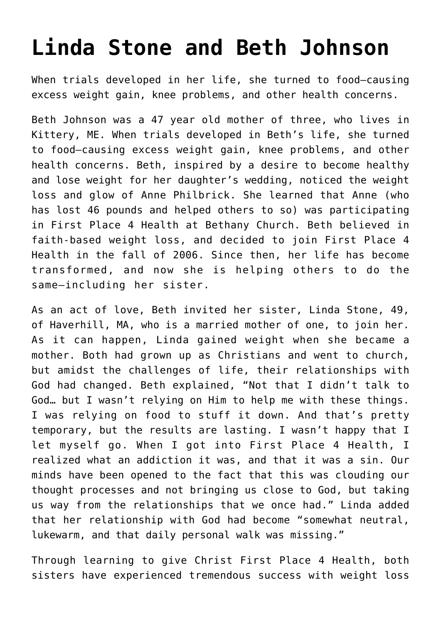## **[Linda Stone and Beth Johnson](https://www.firstplaceforhealth.com/linda-stone-and-beth-johnson/)**

When trials developed in her life, she turned to food—causing excess weight gain, knee problems, and other health concerns.

Beth Johnson was a 47 year old mother of three, who lives in Kittery, ME. When trials developed in Beth's life, she turned to food—causing excess weight gain, knee problems, and other health concerns. Beth, inspired by a desire to become healthy and lose weight for her daughter's wedding, noticed the weight loss and glow of Anne Philbrick. She learned that Anne (who has lost 46 pounds and helped others to so) was participating in First Place 4 Health at Bethany Church. Beth believed in faith-based weight loss, and decided to join First Place 4 Health in the fall of 2006. Since then, her life has become transformed, and now she is helping others to do the same—including her sister.

As an act of love, Beth invited her sister, Linda Stone, 49, of Haverhill, MA, who is a married mother of one, to join her. As it can happen, Linda gained weight when she became a mother. Both had grown up as Christians and went to church, but amidst the challenges of life, their relationships with God had changed. Beth explained, "Not that I didn't talk to God… but I wasn't relying on Him to help me with these things. I was relying on food to stuff it down. And that's pretty temporary, but the results are lasting. I wasn't happy that I let myself go. When I got into First Place 4 Health, I realized what an addiction it was, and that it was a sin. Our minds have been opened to the fact that this was clouding our thought processes and not bringing us close to God, but taking us way from the relationships that we once had." Linda added that her relationship with God had become "somewhat neutral, lukewarm, and that daily personal walk was missing."

Through learning to give Christ First Place 4 Health, both sisters have experienced tremendous success with weight loss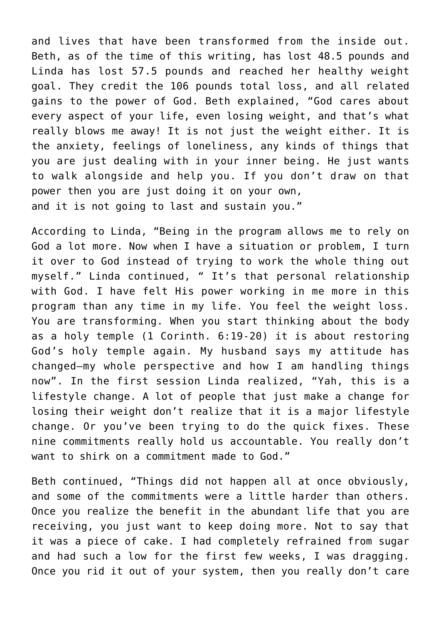and lives that have been transformed from the inside out. Beth, as of the time of this writing, has lost 48.5 pounds and Linda has lost 57.5 pounds and reached her healthy weight goal. They credit the 106 pounds total loss, and all related gains to the power of God. Beth explained, "God cares about every aspect of your life, even losing weight, and that's what really blows me away! It is not just the weight either. It is the anxiety, feelings of loneliness, any kinds of things that you are just dealing with in your inner being. He just wants to walk alongside and help you. If you don't draw on that power then you are just doing it on your own, and it is not going to last and sustain you."

According to Linda, "Being in the program allows me to rely on God a lot more. Now when I have a situation or problem, I turn it over to God instead of trying to work the whole thing out myself." Linda continued, " It's that personal relationship with God. I have felt His power working in me more in this program than any time in my life. You feel the weight loss. You are transforming. When you start thinking about the body as a holy temple (1 Corinth. 6:19-20) it is about restoring God's holy temple again. My husband says my attitude has changed–my whole perspective and how I am handling things now". In the first session Linda realized, "Yah, this is a lifestyle change. A lot of people that just make a change for losing their weight don't realize that it is a major lifestyle change. Or you've been trying to do the quick fixes. These nine commitments really hold us accountable. You really don't want to shirk on a commitment made to God."

Beth continued, "Things did not happen all at once obviously, and some of the commitments were a little harder than others. Once you realize the benefit in the abundant life that you are receiving, you just want to keep doing more. Not to say that it was a piece of cake. I had completely refrained from sugar and had such a low for the first few weeks, I was dragging. Once you rid it out of your system, then you really don't care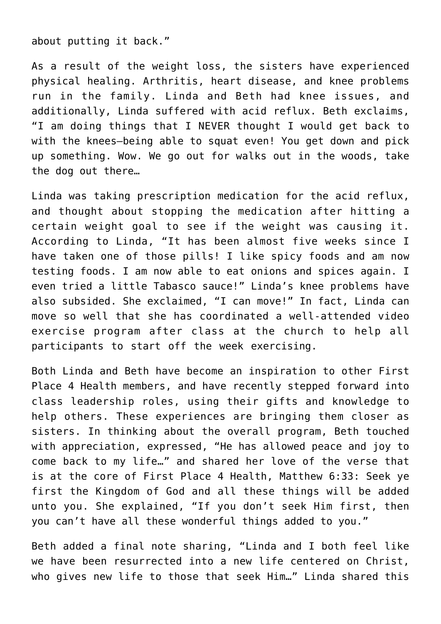about putting it back."

As a result of the weight loss, the sisters have experienced physical healing. Arthritis, heart disease, and knee problems run in the family. Linda and Beth had knee issues, and additionally, Linda suffered with acid reflux. Beth exclaims, "I am doing things that I NEVER thought I would get back to with the knees–being able to squat even! You get down and pick up something. Wow. We go out for walks out in the woods, take the dog out there…

Linda was taking prescription medication for the acid reflux, and thought about stopping the medication after hitting a certain weight goal to see if the weight was causing it. According to Linda, "It has been almost five weeks since I have taken one of those pills! I like spicy foods and am now testing foods. I am now able to eat onions and spices again. I even tried a little Tabasco sauce!" Linda's knee problems have also subsided. She exclaimed, "I can move!" In fact, Linda can move so well that she has coordinated a well-attended video exercise program after class at the church to help all participants to start off the week exercising.

Both Linda and Beth have become an inspiration to other First Place 4 Health members, and have recently stepped forward into class leadership roles, using their gifts and knowledge to help others. These experiences are bringing them closer as sisters. In thinking about the overall program, Beth touched with appreciation, expressed, "He has allowed peace and joy to come back to my life…" and shared her love of the verse that is at the core of First Place 4 Health, Matthew 6:33: Seek ye first the Kingdom of God and all these things will be added unto you. She explained, "If you don't seek Him first, then you can't have all these wonderful things added to you."

Beth added a final note sharing, "Linda and I both feel like we have been resurrected into a new life centered on Christ, who gives new life to those that seek Him…" Linda shared this